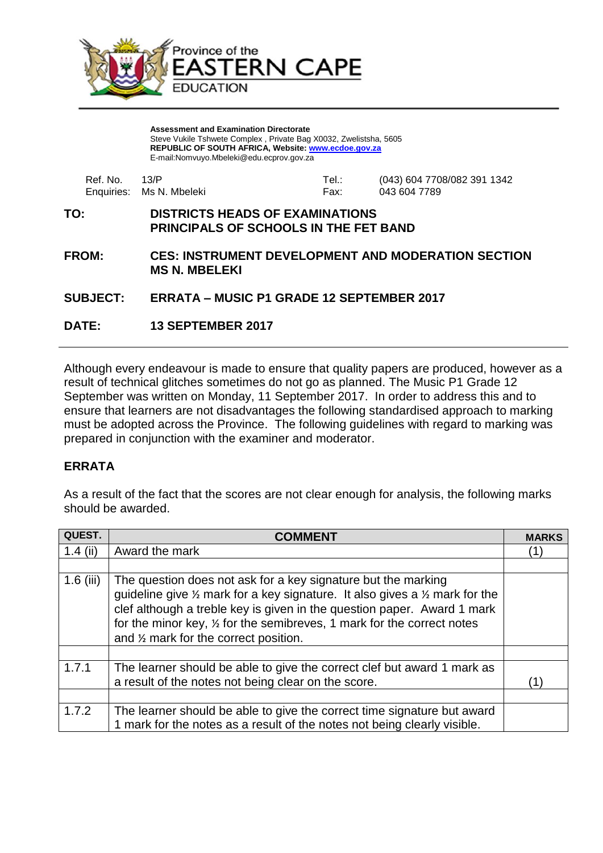

**Assessment and Examination Directorate** Steve Vukile Tshwete Complex , Private Bag X0032, Zwelistsha, 5605 **REPUBLIC OF SOUTH AFRICA, Website: [www.ecdoe.gov.za](http://www.ecdoe.gov.za/)** E-mail:Nomvuyo.Mbeleki@edu.ecprov.gov.za

| Ref. No. 13/P |                          | Tel.: | (043) 604 7708/082 391 1342 |
|---------------|--------------------------|-------|-----------------------------|
|               | Enquiries: Ms N. Mbeleki | Fax:  | 043 604 7789                |

## **TO: DISTRICTS HEADS OF EXAMINATIONS PRINCIPALS OF SCHOOLS IN THE FET BAND**

**FROM: CES: INSTRUMENT DEVELOPMENT AND MODERATION SECTION MS N. MBELEKI**

## **SUBJECT: ERRATA – MUSIC P1 GRADE 12 SEPTEMBER 2017**

**DATE: 13 SEPTEMBER 2017**

Although every endeavour is made to ensure that quality papers are produced, however as a result of technical glitches sometimes do not go as planned. The Music P1 Grade 12 September was written on Monday, 11 September 2017. In order to address this and to ensure that learners are not disadvantages the following standardised approach to marking must be adopted across the Province. The following guidelines with regard to marking was prepared in conjunction with the examiner and moderator.

## **ERRATA**

As a result of the fact that the scores are not clear enough for analysis, the following marks should be awarded.

| QUEST.      |                                                                                                                                                                                                                                                                                                                                                                            | <b>MARKS</b> |
|-------------|----------------------------------------------------------------------------------------------------------------------------------------------------------------------------------------------------------------------------------------------------------------------------------------------------------------------------------------------------------------------------|--------------|
| 1.4 $(iii)$ | Award the mark                                                                                                                                                                                                                                                                                                                                                             | (1)          |
|             |                                                                                                                                                                                                                                                                                                                                                                            |              |
| $1.6$ (iii) | The question does not ask for a key signature but the marking<br>guideline give $\frac{1}{2}$ mark for a key signature. It also gives a $\frac{1}{2}$ mark for the<br>clef although a treble key is given in the question paper. Award 1 mark<br>for the minor key, $\frac{1}{2}$ for the semibreves, 1 mark for the correct notes<br>and % mark for the correct position. |              |
|             |                                                                                                                                                                                                                                                                                                                                                                            |              |
| 1.7.1       | The learner should be able to give the correct clef but award 1 mark as<br>a result of the notes not being clear on the score.                                                                                                                                                                                                                                             | (1)          |
|             |                                                                                                                                                                                                                                                                                                                                                                            |              |
| 1.7.2       | The learner should be able to give the correct time signature but award<br>1 mark for the notes as a result of the notes not being clearly visible.                                                                                                                                                                                                                        |              |